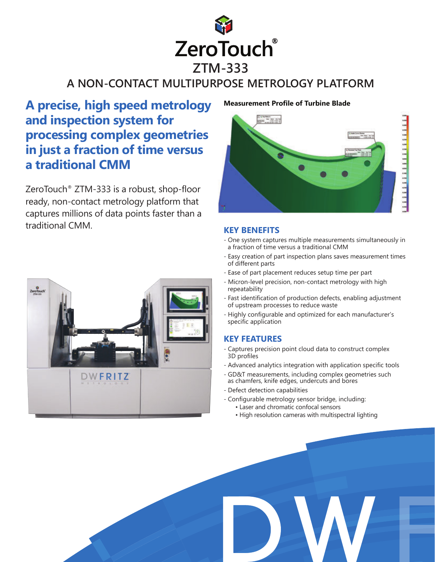

# **A NON-CONTACT MULTIPURPOSE METROLOGY PLATFORM**

# **A precise, high speed metrology and inspection system for processing complex geometries in just a fraction of time versus a traditional CMM**

ZeroTouch® ZTM-333 is a robust, shop-floor ready, non-contact metrology platform that captures millions of data points faster than a traditional CMM.



#### **Measurement Profile of Turbine Blade**



### **KEY BENEFITS**

- One system captures multiple measurements simultaneously in a fraction of time versus a traditional CMM
- Easy creation of part inspection plans saves measurement times of different parts
- Ease of part placement reduces setup time per part
- Micron-level precision, non-contact metrology with high repeatability
- Fast identification of production defects, enabling adjustment of upstream processes to reduce waste
- Highly configurable and optimized for each manufacturer's specific application

## **KEY FEATURES**

- Captures precision point cloud data to construct complex 3D profiles
- Advanced analytics integration with application specific tools
- GD&T measurements, including complex geometries such as chamfers, knife edges, undercuts and bores
- Defect detection capabilities
- Configurable metrology sensor bridge, including:
	- Laser and chromatic confocal sensors
	- High resolution cameras with multispectral lighting